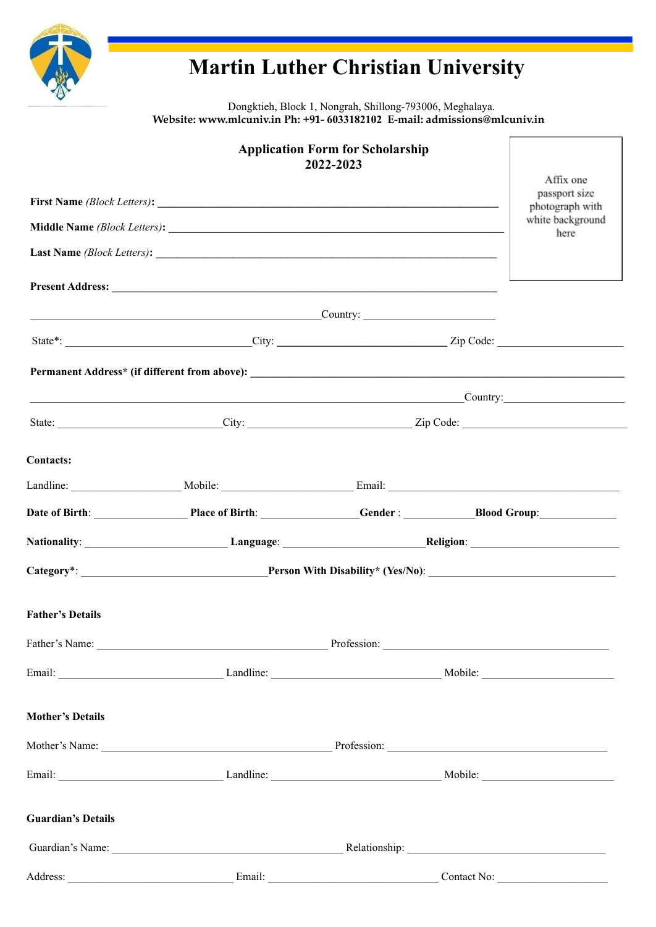

Dongktieh, Block 1, Nongrah, Shillong-793006, Meghalaya. Website: www.mlcuniv.in Ph: +91- 6033182102 E-mail: admissions@mlcuniv.in

|                           |                          | <b>Application Form for Scholarship</b><br>2022-2023 |                                              | Affix one                |  |
|---------------------------|--------------------------|------------------------------------------------------|----------------------------------------------|--------------------------|--|
|                           |                          | passport size<br>photograph with                     |                                              |                          |  |
|                           |                          |                                                      |                                              | white background<br>here |  |
|                           |                          |                                                      |                                              |                          |  |
|                           |                          |                                                      |                                              |                          |  |
|                           | <b>Country:</b> Country: |                                                      |                                              |                          |  |
|                           |                          |                                                      |                                              |                          |  |
|                           |                          |                                                      |                                              |                          |  |
|                           | <b>Country:</b> Country: |                                                      |                                              |                          |  |
|                           |                          |                                                      | State: City: City: City: Zip Code: Zip Code: |                          |  |
| <b>Contacts:</b>          |                          |                                                      |                                              |                          |  |
|                           |                          |                                                      |                                              |                          |  |
|                           |                          |                                                      |                                              |                          |  |
|                           |                          |                                                      |                                              |                          |  |
|                           |                          |                                                      |                                              |                          |  |
|                           |                          |                                                      |                                              |                          |  |
| <b>Father's Details</b>   |                          |                                                      |                                              |                          |  |
|                           |                          |                                                      |                                              |                          |  |
|                           |                          |                                                      |                                              |                          |  |
|                           |                          |                                                      |                                              |                          |  |
| <b>Mother's Details</b>   |                          |                                                      |                                              |                          |  |
|                           |                          |                                                      |                                              |                          |  |
|                           |                          |                                                      |                                              |                          |  |
| <b>Guardian's Details</b> |                          |                                                      |                                              |                          |  |
|                           |                          |                                                      |                                              |                          |  |
|                           |                          |                                                      |                                              |                          |  |
|                           |                          |                                                      |                                              |                          |  |